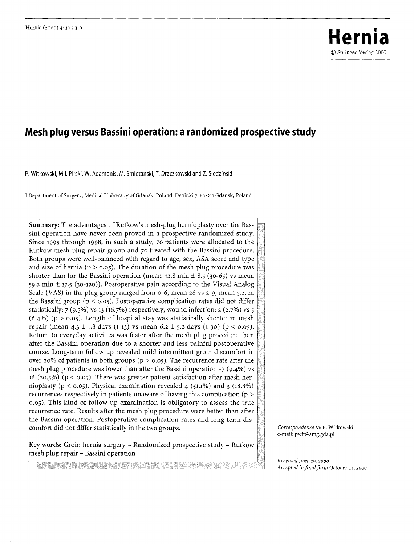# Hernia (2000) 4: 305-310<br> **Hernia** (2000) 4: 305-310 9 Springer-Veriag 2000

# **Mesh plug versus Bassini operation: a randomized prospective study**

P. Witkowski, M.I. Pirski, W. Adarnonis, M. Smietanski, T. Draczkowski and Z. Sledzinski

I Department of Surgery, Medical University of Gdansk, Poland, Debinki 7, 8o-211 Gdansk, Poland

Summary: The advantages of Rutkow's mesh-plug hernioplasty over the Bassini operation have never been proved in a prospective randomized study. Since *1995* through 1998, in such a study, 70 patients were allocated to the Rutkow mesh plug repair group and 70 treated with the Bassini procedure. Both groups were well-balanced with regard to age, sex, ASA score and type and size of hernia ( $p > 0.05$ ). The duration of the mesh plug procedure was shorter than for the Bassini operation (mean  $42.8$  min  $\pm 8.5$  (30-65) vs mean 59.2 min  $\pm$  17.5 (30-120)). Postoperative pain according to the Visual Analog Scale (VAS) in the plug group ranged from o-6, mean 26 vs *2-9,* mean 5.2, in the Bassini group ( $p < 0.05$ ). Postoperative complication rates did not differ statistically:  $7 (9.5\%)$  vs 13 (16.7%) respectively, wound infection: 2 (2.7%) vs 5  $(6.4\%)$  (p > 0.05). Length of hospital stay was statistically shorter in mesh repair (mean 4.3 ± 1.8 days (1-13) vs mean 6.2 ± 5.2 days (1-30) (p < 0,05). Return to everyday activities was faster after the mesh plug procedure than after the Bassini operation due to a shorter and less painful postoperative course. Long-term follow up revealed mild intermittent groin discomfort in over 20% of patients in both groups ( $p > 0.05$ ). The recurrence rate after the mesh plug procedure was lower than after the Bassini operation *-7 (9.4%)* vs 16 (20.5%) ( $p < 0.05$ ). There was greater patient satisfaction after mesh hernioplasty ( $p < 0.05$ ). Physical examination revealed 4 (51.1%) and 3 (18.8%) recurrences respectively in patients unaware of having this complication ( $p >$ o.o5). This kind of follow-up examination is obligatory to assess the true recurrence rate. Results after the mesh plug procedure were better than after the Bassini operation. Postoperative complication rates and long-term discomfort did not differ statistically in the two groups.

Key words: Groin hernia surgery - Randomized prospective study - Rutkow mesh plug repair - Bassini operation

*Correspondence to:* P. Witkowski e-mail: pwit@amg.gda.pl

*Received June 20, 200o Accepted in final form October* 24~ 2000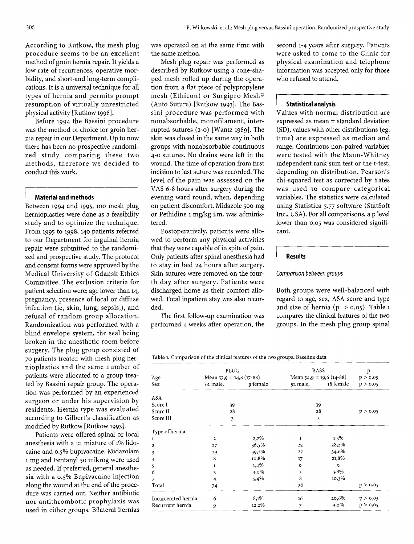According to Rutkow, the mesh plug procedure seems to be an excellent method of groin hernia repair. It yields a low rate of recurrences, operative morbidity, and short-and long-term complications. It is a universal technique for all types of hernia and permits prompt resumption of virtually unrestricted physical activity [Rutkow 1998].

Before 1994 the Bassini procedure was the method of choice for groin hernia repair in our Department. Up to now there has been no prospective randomized study comparing these two methods, therefore we decided to conduct this work.

#### **I Material and methods**

Between 1994 and 1995, 100 mesh plug hernioplasties were done as a feasibility study and to optimize the technique. From 1995 to 1998, 140 patients referred to our Department for inguinal hernia repair were submitted to the randomized and prospective study. The protocol and consent forms were approved by the Medical University of Gdansk Ethics Committee. The exclusion criteria for patient selection were: age lower than 14, pregnancy, presence of local or diffuse infection (ie, skin, lung, sepsis,), and refusal of random group allocation. Randomization was performed with a blind envelope system, the seal being broken in the anesthetic room before surgery. The plug group consisted of 70 patients treated with mesh plug hernioplasties and the same number of patients were allocated to a group treated by Bassini repair group. The operation was performed by an experienced surgeon or under his supervision by residents. Hernia type was evaluated according to Gilbert's classification as modified by Rutkow [Rutkow 1993].

Patients were offered spinal or local anesthesia with a 1:1 mixture of 1% lidocaine and o.5% bupivacaine. Midazolam 1 mg and Fentanyl 5o mikrog were used as needed. If preferred, general anesthesia with a 0.5% Bupivacaine injection along the wound at the end of the procedure was carried out. Neither antibiotic nor antithrombotic prophylaxis was used in either groups. Bilateral hernias was operated on at the same time with the same method.

Mesh plug repair was performed as described by Rutkow using a cone-shaped mesh rolled up during the operation from a flat piece of polypropylene mesh (Ethicon) or Surgipro Mesh® (Auto Suture) [Rutkow 1993]. The Bassini procedure was performed with nonabsorbable, monofilament, interrupted sutures (2-0) [Wantz *1989].* The skin was closed in the same way in both groups with nonabsorbable continuous 4-0 sutures. No drains were left in the wound. The time of operation from first incision to last suture was recorded. The level of the pain was assessed on the VAS 6-8 hours after surgery during the evening ward round, when, depending on patient discomfort. Midazole 500 mg or Pethidine i mg/kg i.m. was administered.

Postoperatively, patients were allowed to perform any physical activities that they were capable of in spite of pain. Only patients after spinal anesthesia had to stay in bed 24 hours after surgery. Skin sutures were removed on the fourth day after surgery. Patients were discharged home as their comfort allowed. Total inpatient stay was also recorded.

The first follow-up examination was performed 4 weeks after operation, the second 1-4 years after surgery. Patients were asked to come to the Clinic for physical examination and telephone information was accepted only for those who refused to attend.

# **I Statistical analysis**

Values with normal distribution are expressed as mean  $\pm$  standard deviation (SD), values with other distributions (eg, time) are expressed as median and range. Continuous non-paired variables were tested with the Mann-Whitney independent rank sum test or the t-test, depending on distribution. Pearson's chi-squared test as corrected by Yates was used to compare categorical variables. The statistics were calculated using Statistica *5.77* software (StatSoft Inc., USA). For all comparisons, a p level lower than 0.05 was considered significant.

#### **Results**

# *Comparison between groups*

Both groups were well-balanced with regard to age, sex, ASA score and type and size of hernia ( $p > 0.05$ ). Table 1 compares the clinical features of the two groups. In the mesh plug group spinal

Table 1. Comparison of the clinical features of the two groups. Baseline data

|                     | PLUG     |                              | <b>BASS</b> |                              | p        |  |
|---------------------|----------|------------------------------|-------------|------------------------------|----------|--|
| Age                 |          | Mean $57.9 \pm 14.8$ (17-88) |             | Mean 54,9 $\pm$ 19,6 (14-88) |          |  |
| Sex                 | 61 male, | 9 female                     |             | 52 male, 18 female           | p > 0,05 |  |
| <b>ASA</b>          |          |                              |             |                              |          |  |
| Score I             | 39       |                              | 39          |                              |          |  |
| Score II            | 28       |                              | 28          |                              | p > 0,05 |  |
| Score III           | 3        |                              | 3           |                              |          |  |
| Type of hernia      |          |                              |             |                              |          |  |
| $\mathbf{1}$        | 2        | 2,7%                         | ı           | 1,3%                         |          |  |
| $\mathbf{2}$        | 27       | 36,5%                        | 22          | 28,2%                        |          |  |
| 3                   | 29       | 39,2%                        | 27          | 34,6%                        |          |  |
| 4                   | 8        | 10,8%                        | 17          | 21,8%                        |          |  |
| 5                   | 1        | 1,4%                         | $\circ$     | $\circ$                      |          |  |
| 6                   | 3        | 4,0%                         | 3           | 3,8%                         |          |  |
| $\overline{7}$      | 4        | 5,4%                         | 8           | 10,3%                        |          |  |
| Total               | 74       |                              | 78          |                              | p > 0,05 |  |
| Incarcerated hernia | 6        | 8,1%                         | 16          | 20,6%                        | p > 0,05 |  |
| Recurrent hernia    | 9        | 12,2%                        | 7           | $9,0\%$                      | p > 0,05 |  |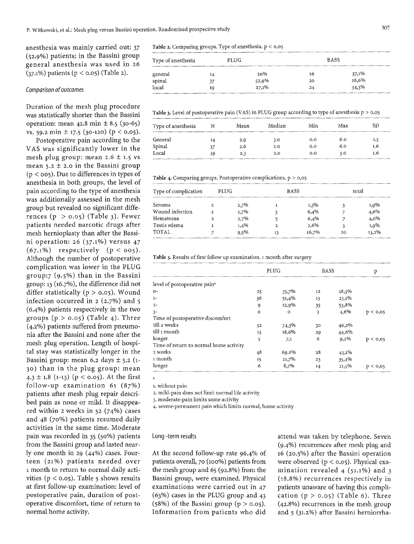anesthesia was mainly carried out: 37 (52.9%) patients; in the Bassini group general anesthesia was used in 26 (37.1%) patients (p < o.o5) (Table z).

### *Comparison of outcomes*

Duration of the mesh plug procedure was statistically shorter than the Bassini operation: mean  $42.8$  min  $\pm 8.5$  (30-65) vs. 59.2 min  $\pm$  17.5 (30-120) (p < 0.05).

Postoperative pain according to the VAS was significantly lower in the mesh plug group: mean  $2.6 \pm 1.5$  vs mean  $5.2 \pm 2.0$  in the Bassini group  $(p < 0.05)$ . Due to differences in types of anesthesia in both groups, the level of pain according to the type of anesthesia was additionally assessed in the mesh group but revealed no significant differences  $(p > 0.05)$  (Table 3). Fewer patients needed narcotic drugs after mesh hernioplasty than after the Bassini operation: 26 (37.1%) versus 47  $(67.1\%)$  respectively  $(p < 005)$ . Although the number of postoperative complication was lower in the PLUG group:7 (9.5%) than in the Bassini group: 13 (16.7%), the difference did not differ statistically ( $p > 0.05$ ). Wound infection occurred in 2 (2.7%) and 5 (6.4%) patients respectively in the two groups  $(p > 0.05)$  (Table 4). Three (4.2%) patients suffered from pneumonia after the Bassini and none after the mesh plug operation. Length of hospital stay was statistically longer in the Bassini group: mean 6.2 days  $\pm$  5.2 (1-3o) than in the plug group: mean  $4.3 \pm 1.8$  (1-13) ( $p < 0.05$ ). At the first follow-up examination 61 (87%) patients after mesh plug repair described pain as none or mild. It disappeared within 2 weeks in 52 (74%) cases and 48 (7o%) patients resumed daily activities in the same time. Moderate pain was recorded in 35 (5o%) patients from the Bassini group and lasted nearly one month in 29 (44%) cases. Fourteen (21%) patients needed over t month to return to normal daily activities ( $p < 0.05$ ). Table 5 shows results at first follow-up examination: level of postoperative pain, duration of postoperative discomfort, time of return to normal home activity.

## Table 2. Comparing groups. Type of anesthesia, p < 0,05

| Type of anesthesia | PLUG |       |    | <b>BASS</b> |
|--------------------|------|-------|----|-------------|
| general            | 14   | 20%   | 26 | 37,1%       |
| spinal             | 37   | 52,9% | 20 | 28,6%       |
| local              | 19   | 27,1% | 24 | 34,3%       |

Table 3. Level of postoperative pain (VAS) in PLUG group according to type of anesthesia  $p > 0.05$ 

| Type of anesthesia |    | Mean | Median | Min          | Max | SD  |
|--------------------|----|------|--------|--------------|-----|-----|
| General            | 14 | 2.9  | 3.0    | $_{\rm 0.0}$ | 6.0 | 1.5 |
| Spinal             | 37 | 2.6  | 2.0    | 0.0          | 6.0 | 1.6 |
| Local              | 19 | 2.3  | 2,0    | 0.0          | 5.0 | 1.6 |

Table 4. Comparing groups. Postoperative complications.  $p > 0.05$ 

| Type of complication | PLUG |         |    | <b>BASS</b> |    | total |  |
|----------------------|------|---------|----|-------------|----|-------|--|
| Seroma               | 2    | $2.7\%$ |    | 1,3%        |    | 1,9%  |  |
| Wound infection      | 2    | 2,7%    |    | 6,4%        |    | 4,6%  |  |
| Hematoma             | 2    | 2,7%    |    | 6,4%        |    | 4,6%  |  |
| Testis edema         |      | 1,4%    | 2  | 2.6%        |    | 1,9%  |  |
| TOTAL                |      | 9,5%    | 13 | 16,7%       | 20 | 13,2% |  |

Table 5. Results of first follow up examination. 1 month after surgery

|                                          |         | PLUG    |    | <b>BASS</b> |          |
|------------------------------------------|---------|---------|----|-------------|----------|
| level of postoperative pain <sup>a</sup> |         |         |    |             |          |
| $O -$                                    | 25      | 35,7%   | 12 | 18,5%       |          |
| $1-$                                     | 36      | 51,4%   | 15 | $23,1\%$    |          |
| $2 -$                                    | 9       | 12,9%   | 35 | 53,8%       |          |
| $3-$                                     | $\circ$ | $\circ$ | 3  | 4,6%        | p < 0.05 |
| Time of postoperative discomfort         |         |         |    |             |          |
| till 2 weeks                             | 52      | 74,3%   | 30 | 46,2%       |          |
| till 1 month                             | 13      | 18,6%   | 29 | 44,6%       |          |
| longer                                   | 5       | 7,1     | 6  | 9,2%        | p < 0.05 |
| Time of return to normal home activity   |         |         |    |             |          |
| 2 weeks                                  | 48      | 69.6%   | 28 | $43,1\%$    |          |
| 1 month                                  | 15      | 21,7%   | 23 | 35,4%       |          |
| longer                                   | 6       | 8,7%    | 14 | 21,5%       | p < 0,05 |

1. without pain

a

2. mild-pain does not limit normal life activity

3. moderate-pain limits some activity

4. severe-permanent pain which limits normal, home activity

#### Long -term results

At the second follow-up rate 96.4% of patients overall, 70 (100%) patients from the mesh group and 65 (92.8%) from the Bassini group, were examined. Physical examinations were carried out in 47 (63%) cases in the PLUG group and 43 (58%) of the Bassini group ( $p > 0.05$ ). Information from patients who did

attend was taken by telephone. Seven (9.4%) recurrences after mesh plug and t6 (2o.5%) after the Bassini operation were observed  $(p < 0.05)$ . Physical examination revealed 4 (51.1%) and 3 (18.8%) recurrences respectively in patients unaware of having this complication  $(p > 0.05)$  (Table 6). Three (42.8%) recurrences in the mesh group and 5 (31.2%) after Bassini herniorrha-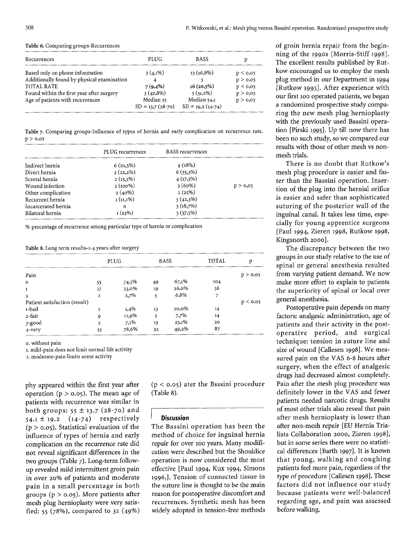#### Table 6. Comparing groups-Recurrences

| Recurrences                                | PLUG               | <b>BASS</b>        | р        |
|--------------------------------------------|--------------------|--------------------|----------|
| Based only on phone information            | $3(4,1\%)$         | $13(16,8\%)$       | p < 0.05 |
| Additionally found by physical examination | 4                  |                    | p > 0,05 |
| <b>TOTAL RATE</b>                          | $7(9,4\%)$         | $16(20,5\%)$       | p < 0.05 |
| Found within the first year after surgery  | $3(42,8\%)$        | $5(31,2\%)$        | p > 0.05 |
| Age of patients with recurrences           | Median 55          | Median 54,1        | p > 0.05 |
|                                            | $SD = 13.7(28-70)$ | $SD = 19,2(14-74)$ |          |

Table 7. Comparing groups-Influence of types of hernia and early complication on recurrence rate.  $p > 0.05$ 

|                     | PLUG recurrences | <b>BASS</b> recurrences |          |
|---------------------|------------------|-------------------------|----------|
| Indirect hernia     | $6(10,3\%)$      | 9(18%)                  |          |
| Direct hernia       | $2(22,2\%)$      | $6(35,3\%)$             |          |
| Scrotal hernia      | $2(13,3\%)$      | $4(17,3\%)$             |          |
| Wound infection     | $2(100\%)$       | 3(60%)                  | p > 0,05 |
| Other complication  | $2(40\%)$        | 2(25%)                  |          |
| Recurrent hernia    | $1(11,1\%)$      | $3(42,3\%)$             |          |
| Incarcerated hernia | $\Omega$         | 3(18,7%)                |          |
| Bilateral hernia    | 1(25%)           | $3(37,5\%)$             |          |

% percentage of recurrence among particular type of hernia or complication

Table 8. Long term results-1-4 years after surgery

|                               |              | PLUG  | <b>BASS</b> |       | <b>TOTAL</b> | p        |
|-------------------------------|--------------|-------|-------------|-------|--------------|----------|
| Pain                          |              |       |             |       |              | p > 0,05 |
| $\circ$                       | 55           | 74,3% | 49          | 67,1% | 104          |          |
| 1                             | 17           | 23,0% | 19          | 26,0% | 36           |          |
| $\mathbf{2}$                  | $\mathbf{2}$ | 2,7%  | 5           | 6,8%  | 7            |          |
| Patient satisfaction (result) |              |       |             |       |              | p < 0.05 |
| 1-bad                         | 1            | 1,4%  | 13          | 20,0% | 14           |          |
| 2-fair                        | 9            | 12,9% | 5           | 7,7%  | 14           |          |
| 3-good                        |              | 7,1%  | 15          | 23,1% | 20           |          |
| 4-very                        | 55           | 78,6% | 32          | 49,2% | 87           |          |

o. without pain

1. mild-pain does not limit normal life activity

2. moderate-pain limits some activity

phy appeared within the first year after operation ( $p > 0.05$ ). The mean age of patients with recurrence was similar in both groups:  $55 \pm 13.7$  (28-70) and  $54.1 \pm 19.2$   $(14-74)$  respectively  $(p > 0.05)$ . Statistical evaluation of the influence of types of hernia and early complication on the recurrence rate did not reveal significant differences in the two groups (Table 7). Long-term followup revealed mild intermittent groin pain in over 20% of patients and moderate pain in a small percentage in both groups ( $p > 0.05$ ). More patients after mesh plug hernioplasty were very satisfied: 55 (78%), compared to 32 (49%)

 $(p < 0.05)$  ater the Bsssini procedure (Table 8).

#### **Discussion**

The Bassini operation has been the method of choice for inguinal hernia repair for over 100 years. Many modification were described but the Shouldice operation is now considered the most effective [Paul *1994,* Kux *1994,* Simons 1996,]. Tension of connected tissue in the suture line is thought to be the main reason for postoperative discomfort and recurrences. Synthetic mesh has been widely adopted in tension-free methods

of groin hernia repair from the beginning of the 199os [Morris-Stiff 1998 ]. The excellent results published by Rutkow encouraged us to employ the mesh plug method in our Department in *1994*  [Rutkow 1993]. After experience with our first 100 operated patients, we began a randomized prospective study comparing the new mesh plug hernioplasty with the previously used Bassini operation [Pirski 1995]. Up till now there has been no such study, so we compared our results with those of other mesh vs nonmesh trials.

There is no doubt that Rutkow's mesh plug procedure is easier and faster than the Bassini operation. Insertion of the plug into the hernial orifice is easier and safer than sophisticated suturing of the posterior wall of the inguinal canal. It takes less time, especially for young apprentice surgeons [Paul 1994, Zieren 1998, Rutkow 1998, Kingsnorth 2000].

The discrepancy between the two groups in our study relative to the use of spinal or general anesthesia resulted from varying patient demand. We now make more effort to explain to patients the superiority of spinal or local over general anesthesia.

Postoperative pain depends on many factors: analgesic administration, age of patients and their activity in the postoperative period, and surgical technique: tension in suture line and size of wound [Callesen 1998]. We measured pain on the VAS 6-8 hours after surgery, when the effect of analgesic drugs had decreased almost completely. Pain after the mesh plug procedure was definitely lower in the VAS and fewer patients needed narcotic drugs. Results of most other trials also reveal that pain after mesh hernioplasty is lower than after non-mesh repair [EU Hernia Trialists Collaboration 2ooo, Zieren *1998],*  but in some series there were no statistical differences [Barth 1997]. It is known that young, walking and coughing patients feel more pain, regardless of the type of procedure [Callesen 1998]. These factors did not influence our study because patients were well-balanced regarding age, and pain was assessed before walking.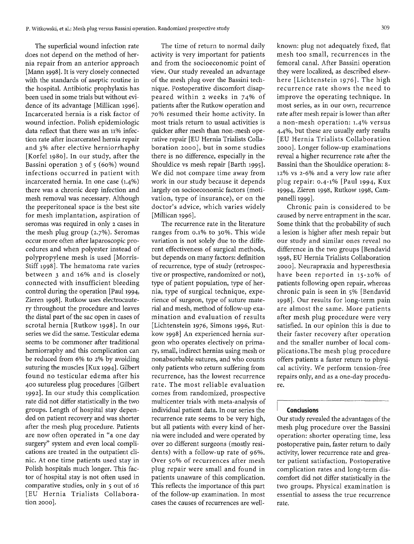The superficial wound infection rate does not depend on the method of hernia repair from an anterior approach [Mann 1998]. It is very closely connected with the standards of aseptic routine in the hospital. Antibiotic prophylaxis has been used in some trials but without evidence of its advantage [Millican 1996]. Incarcerated hernia is a risk factor of wound infection. Polish epidemiologic data reflect that there was an 11% infection rate after incarcerated hernia repair and 3% after elective herniorrhaphy [Korfel 1980]. In our study, after the Bassini operation 3 of 5 (6o%) wound infections occurred in patient with incarcerated hernia. In one case (1.4%) there was a chronic deep infection and mesh removal was necessary. Although the preperitoneal space is the best site for mesh implantation, aspiration of seromas was required in only 2 cases in the mesh plug group (2.7%). Seromas occur more often after laparoscopic procedures and when polyester instead of polypropylene mesh is used [Morris-Stiff 1998]. The hematoma rate varies between 3 and 16% and is closely connected with insufficient bleeding control during the operation [Paul 1994, Zieren *1998].* Rutkow uses electrocautery throughout the procedure and leaves the distal part of the sac open in cases of scrotal hernia [Rutkow *1998].* In our series we did the same. Testicular edema seems to be commoner after traditional herniorraphy and this complication can be reduced from 6% to 2% by avoiding suturing the muscles [Kux 1994]- Gilbert found no testicular edema after his 4oo sutureless plug procedures [Gilbert *1992].* In our study this complication rate did not differ statistically in the two groups. Length of hospital stay depended on patient recovery and was shorter after the mesh plug procedure. Patients are now often operated in "a one day surgery" system and even local complications are treated in the outpatient clinic. At one time patients used stay in Polish hospitals much longer. This factor of hospital stay is not often used in comparative studies, only in 5 out of 16 [EU Hernia Trialists Collaboration 2ooo].

The time of return to normal daily activity is very important for patients and from the socioeconomic point of view. Our study revealed an advantage of the mesh plug over the Bassini technique. Postoperative discomfort disappeared within 2 weeks in 74% of patients after the Rutkow operation and 7o% resumed their home activity. In most trials return to usual activities is quicker after mesh than non-mesh operative repair [EU Hernia Trialists Collaboration 2ooo], but in some studies there is no difference, especially in the Shouldice vs mesh repair [Barth 1995]. We did not compare time away from work in our study because it depends largely on socioeconomic factors (motivation, type of insurance), or on the doctor's advice, which varies widely [Millican 1996].

The recurrence rate in the literature ranges from o.1% to 3o%. This wide variation is not solely due to the different effectiveness of surgical methods, but depends on many factors: definition of recurrence, type of study (retrospective or prospective, randomized or not), type of patient population, type of hernia, type of surgical technique, experience of surgeon, type of suture material and mesh, method of follow-up examination and evaluation of results [Lichtenstein *1976,* Simons *1996,* Rutkow 1998] An experienced hernia surgeon who operates electively on primary, small, indirect hernias using mesh or nonabsorbable sutures, and who counts only patients who return suffering from recurrence, has the lowest recurrence rate. The most reliable evaluation comes from randomized, prospective multicenter trials with meta-analysis of individual patient data. In our series the recurrence rate seems to be very high, but all patients with every kind of hernia were included and were operated by over 2o different surgeons (mostly residents) with a follow-up rate of 96%. Over 5o% of recurrences after mesh plug repair were small and found in patients unaware of this complication. This reflects the importance of this part of the follow-up examination. In most cases the causes of recurrences are wellknown: plug not adequately fixed, flat mesh too small, recurrences in the femoral canal. After Bassini operation they were localized, as described elsewhere [Lichtenstein *1976].* The high recurrence rate shows the need to improve the operating technique. In most series, as in our own, recurrence rate after mesh repair is lower than after a non-mesh operation: 1.4% versus 4.4%, but these are usually early results [EU Hernia Trialists Collaboration 2ooo]. Longer follow-up examinations reveal a higher recurrence rate after the Bassini than the Shouldice operation: 8- 12% vs 2-6% and a very low rate after plug repair: o.4-1% [Paul *1994,* Kux 19994, Zieren 1998, Rutkow 1998, Campanelli *1999].* 

Chronic pain is considered to be caused by nerve entrapment in the scar. Some think that the probability of such a lesion is higher after mesh repair but our study and similar ones reveal no difference in the two groups [Bendavid 1998, EU Hernia Trialists Collaboration 2000]. Neurapraxia and hyperesthesia have been reported in 15-2o% of patients following open repair, whereas chronic pain is seen in 5% [Bendavid 1998]. Our results for long-term pain are almost the same. More patients after mesh plug procedure were very satisfied. In our opinion this is due to their faster recovery after operation and the smaller number of local complications.The mesh plug procedure offers patients a faster return to physical activity. We perform tension-free repairs only, and as a one-day procedure.

# **Conclusions**

Our study revealed the advantages of the mesh plug procedure over the Bassini operation: shorter operating time, less postoperative pain, faster return to daily activity, lower recurrence rate and greater patient satisfaction. Postoperative complication rates and long-term discomfort did not differ statistically in the two groups. Physical examination is essential to assess the true recurrence rate.